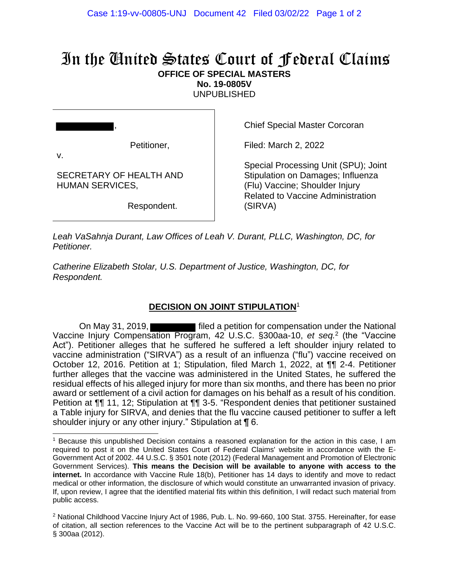## In the United States Court of Federal Claims **OFFICE OF SPECIAL MASTERS**

**No. 19-0805V**

UNPUBLISHED

| Petitioner,<br>V.                                 |
|---------------------------------------------------|
| SECRETARY OF HEALTH AND<br><b>HUMAN SERVICES,</b> |
| Respondent.                                       |

Chief Special Master Corcoran

Filed: March 2, 2022

Special Processing Unit (SPU); Joint Stipulation on Damages; Influenza (Flu) Vaccine; Shoulder Injury Related to Vaccine Administration (SIRVA)

*Leah VaSahnja Durant, Law Offices of Leah V. Durant, PLLC, Washington, DC, for Petitioner.*

*Catherine Elizabeth Stolar, U.S. Department of Justice, Washington, DC, for Respondent.*

## **DECISION ON JOINT STIPULATION**<sup>1</sup>

On May 31, 2019, **Filled a petition for compensation under the National** Vaccine Injury Compensation Program, 42 U.S.C. §300aa-10, et seq.<sup>2</sup> (the "Vaccine Act"). Petitioner alleges that he suffered he suffered a left shoulder injury related to vaccine administration ("SIRVA") as a result of an influenza ("flu") vaccine received on October 12, 2016. Petition at 1; Stipulation, filed March 1, 2022, at ¶¶ 2-4. Petitioner further alleges that the vaccine was administered in the United States, he suffered the residual effects of his alleged injury for more than six months, and there has been no prior award or settlement of a civil action for damages on his behalf as a result of his condition. Petition at ¶¶ 11, 12; Stipulation at ¶¶ 3-5. "Respondent denies that petitioner sustained a Table injury for SIRVA, and denies that the flu vaccine caused petitioner to suffer a left shoulder injury or any other injury." Stipulation at  $\P$  6.

<sup>1</sup> Because this unpublished Decision contains a reasoned explanation for the action in this case, I am required to post it on the United States Court of Federal Claims' website in accordance with the E-Government Act of 2002. 44 U.S.C. § 3501 note (2012) (Federal Management and Promotion of Electronic Government Services). **This means the Decision will be available to anyone with access to the internet.** In accordance with Vaccine Rule 18(b), Petitioner has 14 days to identify and move to redact medical or other information, the disclosure of which would constitute an unwarranted invasion of privacy. If, upon review, I agree that the identified material fits within this definition, I will redact such material from public access.

<sup>&</sup>lt;sup>2</sup> National Childhood Vaccine Injury Act of 1986, Pub. L. No. 99-660, 100 Stat. 3755. Hereinafter, for ease of citation, all section references to the Vaccine Act will be to the pertinent subparagraph of 42 U.S.C. § 300aa (2012).